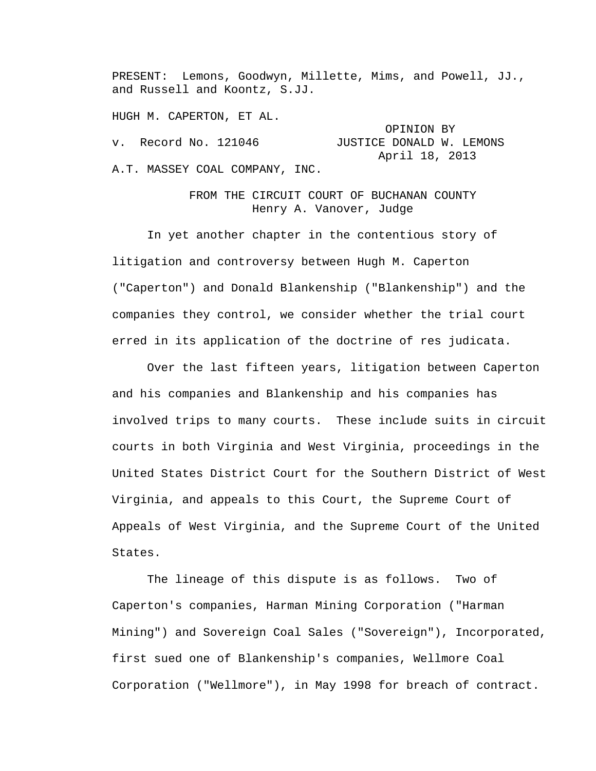PRESENT: Lemons, Goodwyn, Millette, Mims, and Powell, JJ., and Russell and Koontz, S.JJ.

HUGH M. CAPERTON, ET AL.

OPINION BY<br>v. Record No. 121046 JUSTICE DONALD W. JUSTICE DONALD W. LEMONS April 18, 2013 A.T. MASSEY COAL COMPANY, INC.

> FROM THE CIRCUIT COURT OF BUCHANAN COUNTY Henry A. Vanover, Judge

 In yet another chapter in the contentious story of litigation and controversy between Hugh M. Caperton ("Caperton") and Donald Blankenship ("Blankenship") and the companies they control, we consider whether the trial court erred in its application of the doctrine of res judicata.

Over the last fifteen years, litigation between Caperton and his companies and Blankenship and his companies has involved trips to many courts. These include suits in circuit courts in both Virginia and West Virginia, proceedings in the United States District Court for the Southern District of West Virginia, and appeals to this Court, the Supreme Court of Appeals of West Virginia, and the Supreme Court of the United States.

The lineage of this dispute is as follows. Two of Caperton's companies, Harman Mining Corporation ("Harman Mining") and Sovereign Coal Sales ("Sovereign"), Incorporated, first sued one of Blankenship's companies, Wellmore Coal Corporation ("Wellmore"), in May 1998 for breach of contract.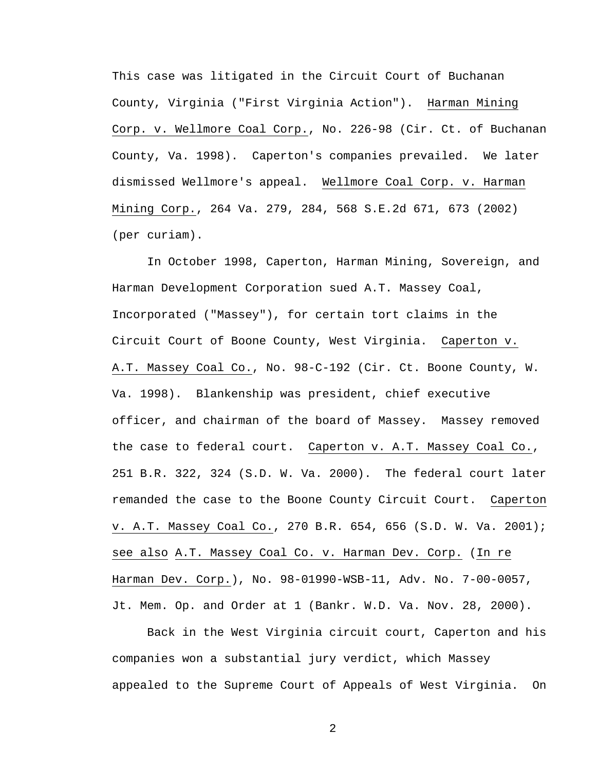This case was litigated in the Circuit Court of Buchanan County, Virginia ("First Virginia Action"). Harman Mining Corp. v. Wellmore Coal Corp., No. 226-98 (Cir. Ct. of Buchanan County, Va. 1998). Caperton's companies prevailed. We later dismissed Wellmore's appeal. Wellmore Coal Corp. v. Harman Mining Corp., 264 Va. 279, 284, 568 S.E.2d 671, 673 (2002) (per curiam).

In October 1998, Caperton, Harman Mining, Sovereign, and Harman Development Corporation sued A.T. Massey Coal, Incorporated ("Massey"), for certain tort claims in the Circuit Court of Boone County, West Virginia. Caperton v. A.T. Massey Coal Co., No. 98-C-192 (Cir. Ct. Boone County, W. Va. 1998). Blankenship was president, chief executive officer, and chairman of the board of Massey. Massey removed the case to federal court. Caperton v. A.T. Massey Coal Co., 251 B.R. 322, 324 (S.D. W. Va. 2000). The federal court later remanded the case to the Boone County Circuit Court. Caperton v. A.T. Massey Coal Co., 270 B.R. 654, 656 (S.D. W. Va. 2001); see also A.T. Massey Coal Co. v. Harman Dev. Corp. (In re Harman Dev. Corp.), No. 98-01990-WSB-11, Adv. No. 7-00-0057, Jt. Mem. Op. and Order at 1 (Bankr. W.D. Va. Nov. 28, 2000).

Back in the West Virginia circuit court, Caperton and his companies won a substantial jury verdict, which Massey appealed to the Supreme Court of Appeals of West Virginia. On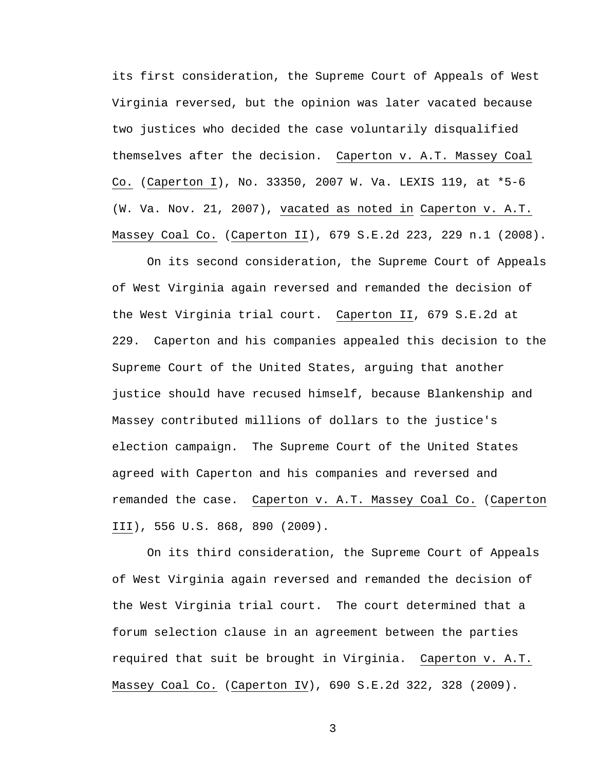its first consideration, the Supreme Court of Appeals of West Virginia reversed, but the opinion was later vacated because two justices who decided the case voluntarily disqualified themselves after the decision. Caperton v. A.T. Massey Coal Co. (Caperton I), No. 33350, 2007 W. Va. LEXIS 119, at \*5-6 (W. Va. Nov. 21, 2007), vacated as noted in Caperton v. A.T. Massey Coal Co. (Caperton II), 679 S.E.2d 223, 229 n.1 (2008).

On its second consideration, the Supreme Court of Appeals of West Virginia again reversed and remanded the decision of the West Virginia trial court. Caperton II, 679 S.E.2d at 229. Caperton and his companies appealed this decision to the Supreme Court of the United States, arguing that another justice should have recused himself, because Blankenship and Massey contributed millions of dollars to the justice's election campaign. The Supreme Court of the United States agreed with Caperton and his companies and reversed and remanded the case. Caperton v. A.T. Massey Coal Co. (Caperton III), 556 U.S. 868, 890 (2009).

On its third consideration, the Supreme Court of Appeals of West Virginia again reversed and remanded the decision of the West Virginia trial court. The court determined that a forum selection clause in an agreement between the parties required that suit be brought in Virginia. Caperton v. A.T. Massey Coal Co. (Caperton IV), 690 S.E.2d 322, 328 (2009).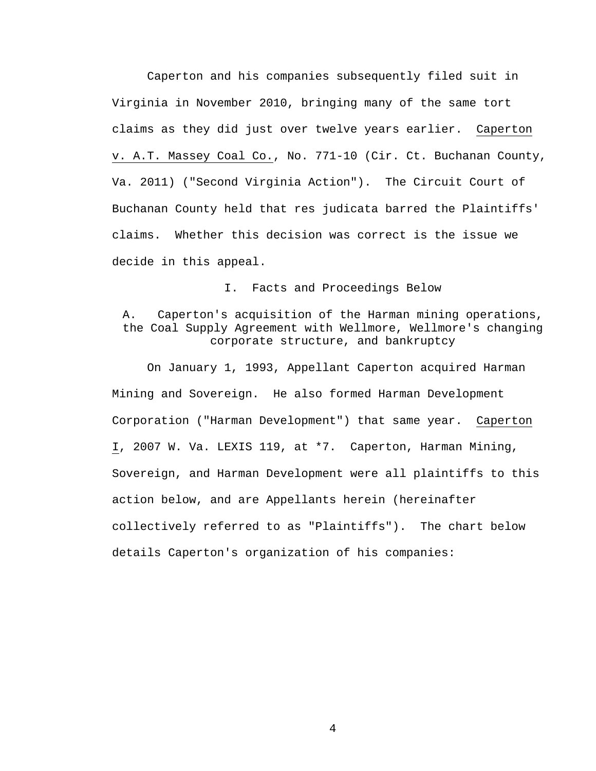Caperton and his companies subsequently filed suit in Virginia in November 2010, bringing many of the same tort claims as they did just over twelve years earlier. Caperton v. A.T. Massey Coal Co., No. 771-10 (Cir. Ct. Buchanan County, Va. 2011) ("Second Virginia Action"). The Circuit Court of Buchanan County held that res judicata barred the Plaintiffs' claims. Whether this decision was correct is the issue we decide in this appeal.

I. Facts and Proceedings Below

# A. Caperton's acquisition of the Harman mining operations, the Coal Supply Agreement with Wellmore, Wellmore's changing corporate structure, and bankruptcy

 On January 1, 1993, Appellant Caperton acquired Harman Mining and Sovereign. He also formed Harman Development Corporation ("Harman Development") that same year. Caperton I, 2007 W. Va. LEXIS 119, at \*7. Caperton, Harman Mining, Sovereign, and Harman Development were all plaintiffs to this action below, and are Appellants herein (hereinafter collectively referred to as "Plaintiffs"). The chart below details Caperton's organization of his companies: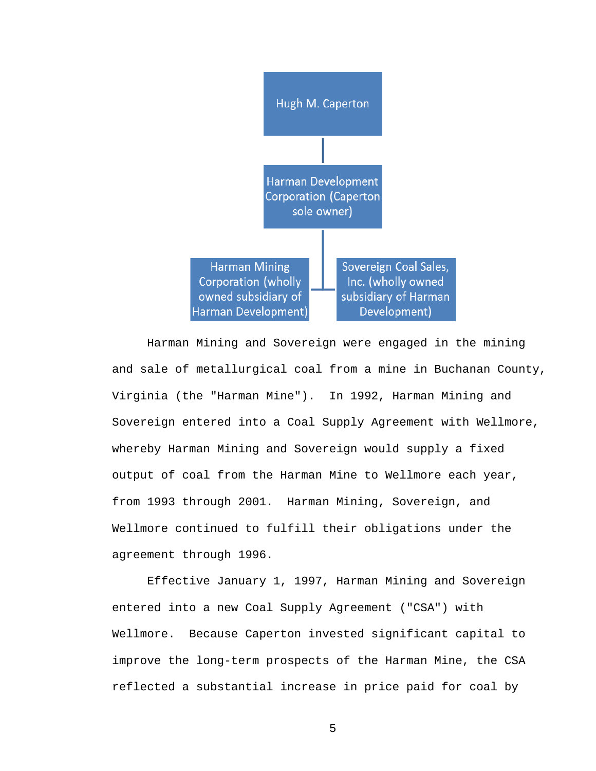

 Harman Mining and Sovereign were engaged in the mining and sale of metallurgical coal from a mine in Buchanan County, Virginia (the "Harman Mine"). In 1992, Harman Mining and Sovereign entered into a Coal Supply Agreement with Wellmore, whereby Harman Mining and Sovereign would supply a fixed output of coal from the Harman Mine to Wellmore each year, from 1993 through 2001. Harman Mining, Sovereign, and Wellmore continued to fulfill their obligations under the agreement through 1996.

 Effective January 1, 1997, Harman Mining and Sovereign entered into a new Coal Supply Agreement ("CSA") with Wellmore. Because Caperton invested significant capital to improve the long-term prospects of the Harman Mine, the CSA reflected a substantial increase in price paid for coal by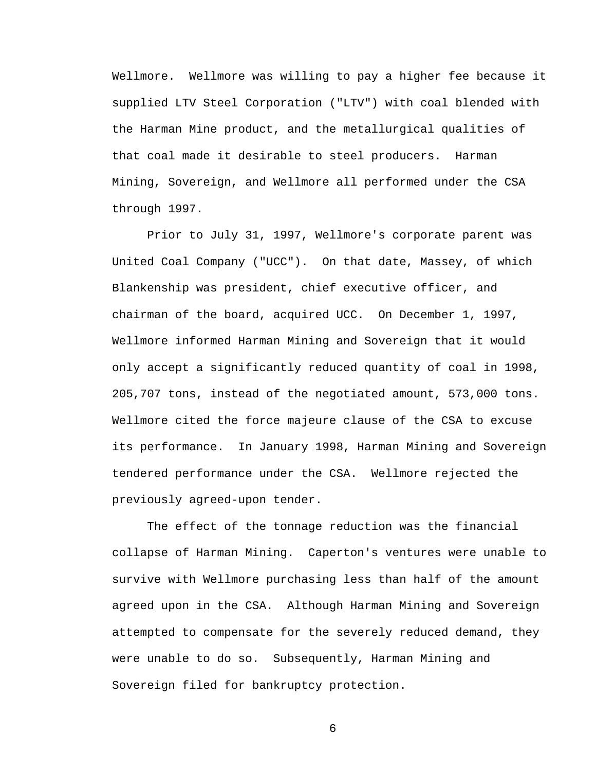Wellmore. Wellmore was willing to pay a higher fee because it supplied LTV Steel Corporation ("LTV") with coal blended with the Harman Mine product, and the metallurgical qualities of that coal made it desirable to steel producers. Harman Mining, Sovereign, and Wellmore all performed under the CSA through 1997.

 Prior to July 31, 1997, Wellmore's corporate parent was United Coal Company ("UCC"). On that date, Massey, of which Blankenship was president, chief executive officer, and chairman of the board, acquired UCC. On December 1, 1997, Wellmore informed Harman Mining and Sovereign that it would only accept a significantly reduced quantity of coal in 1998, 205,707 tons, instead of the negotiated amount, 573,000 tons. Wellmore cited the force majeure clause of the CSA to excuse its performance. In January 1998, Harman Mining and Sovereign tendered performance under the CSA. Wellmore rejected the previously agreed-upon tender.

 The effect of the tonnage reduction was the financial collapse of Harman Mining. Caperton's ventures were unable to survive with Wellmore purchasing less than half of the amount agreed upon in the CSA. Although Harman Mining and Sovereign attempted to compensate for the severely reduced demand, they were unable to do so. Subsequently, Harman Mining and Sovereign filed for bankruptcy protection.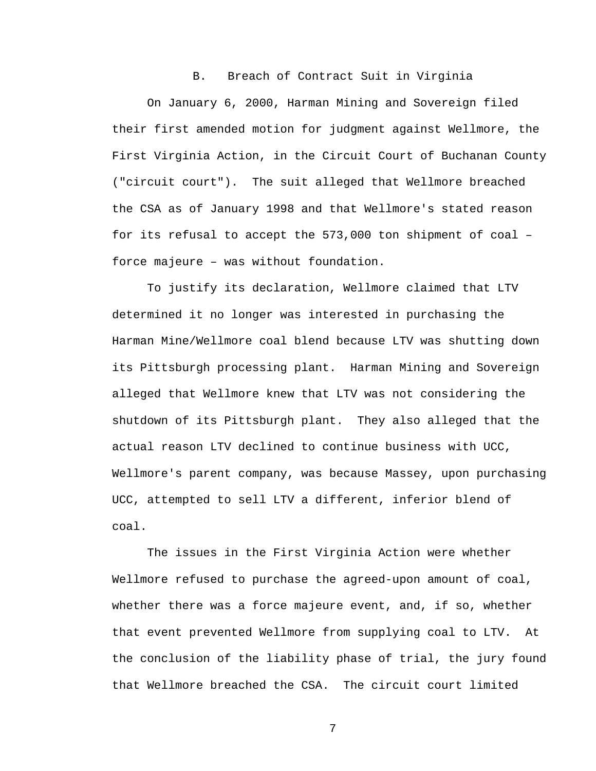#### B. Breach of Contract Suit in Virginia

 On January 6, 2000, Harman Mining and Sovereign filed their first amended motion for judgment against Wellmore, the First Virginia Action, in the Circuit Court of Buchanan County ("circuit court"). The suit alleged that Wellmore breached the CSA as of January 1998 and that Wellmore's stated reason for its refusal to accept the 573,000 ton shipment of coal – force majeure – was without foundation.

 To justify its declaration, Wellmore claimed that LTV determined it no longer was interested in purchasing the Harman Mine/Wellmore coal blend because LTV was shutting down its Pittsburgh processing plant. Harman Mining and Sovereign alleged that Wellmore knew that LTV was not considering the shutdown of its Pittsburgh plant. They also alleged that the actual reason LTV declined to continue business with UCC, Wellmore's parent company, was because Massey, upon purchasing UCC, attempted to sell LTV a different, inferior blend of coal.

 The issues in the First Virginia Action were whether Wellmore refused to purchase the agreed-upon amount of coal, whether there was a force majeure event, and, if so, whether that event prevented Wellmore from supplying coal to LTV. At the conclusion of the liability phase of trial, the jury found that Wellmore breached the CSA. The circuit court limited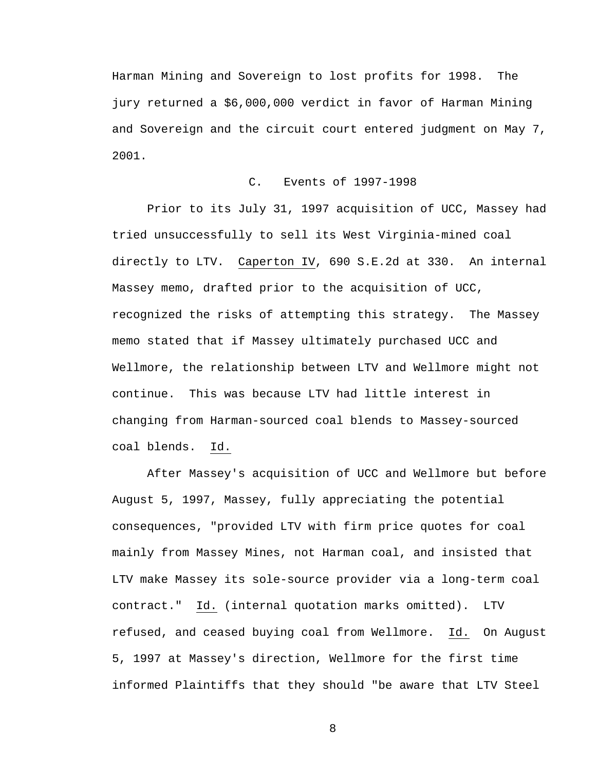Harman Mining and Sovereign to lost profits for 1998. The jury returned a \$6,000,000 verdict in favor of Harman Mining and Sovereign and the circuit court entered judgment on May 7, 2001.

## C. Events of 1997-1998

 Prior to its July 31, 1997 acquisition of UCC, Massey had tried unsuccessfully to sell its West Virginia-mined coal directly to LTV. Caperton IV, 690 S.E.2d at 330. An internal Massey memo, drafted prior to the acquisition of UCC, recognized the risks of attempting this strategy. The Massey memo stated that if Massey ultimately purchased UCC and Wellmore, the relationship between LTV and Wellmore might not continue. This was because LTV had little interest in changing from Harman-sourced coal blends to Massey-sourced coal blends. Id.

 After Massey's acquisition of UCC and Wellmore but before August 5, 1997, Massey, fully appreciating the potential consequences, "provided LTV with firm price quotes for coal mainly from Massey Mines, not Harman coal, and insisted that LTV make Massey its sole-source provider via a long-term coal contract." Id. (internal quotation marks omitted). LTV refused, and ceased buying coal from Wellmore. Id. On August 5, 1997 at Massey's direction, Wellmore for the first time informed Plaintiffs that they should "be aware that LTV Steel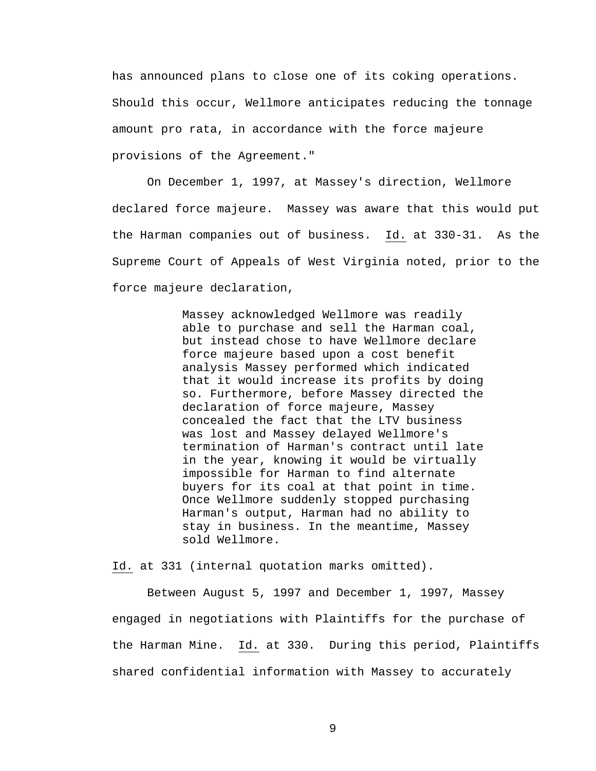has announced plans to close one of its coking operations. Should this occur, Wellmore anticipates reducing the tonnage amount pro rata, in accordance with the force majeure provisions of the Agreement."

 On December 1, 1997, at Massey's direction, Wellmore declared force majeure. Massey was aware that this would put the Harman companies out of business. Id. at 330-31. As the Supreme Court of Appeals of West Virginia noted, prior to the force majeure declaration,

> Massey acknowledged Wellmore was readily able to purchase and sell the Harman coal, but instead chose to have Wellmore declare force majeure based upon a cost benefit analysis Massey performed which indicated that it would increase its profits by doing so. Furthermore, before Massey directed the declaration of force majeure, Massey concealed the fact that the LTV business was lost and Massey delayed Wellmore's termination of Harman's contract until late in the year, knowing it would be virtually impossible for Harman to find alternate buyers for its coal at that point in time. Once Wellmore suddenly stopped purchasing Harman's output, Harman had no ability to stay in business. In the meantime, Massey sold Wellmore.

Id. at 331 (internal quotation marks omitted).

 Between August 5, 1997 and December 1, 1997, Massey engaged in negotiations with Plaintiffs for the purchase of the Harman Mine. Id. at 330. During this period, Plaintiffs shared confidential information with Massey to accurately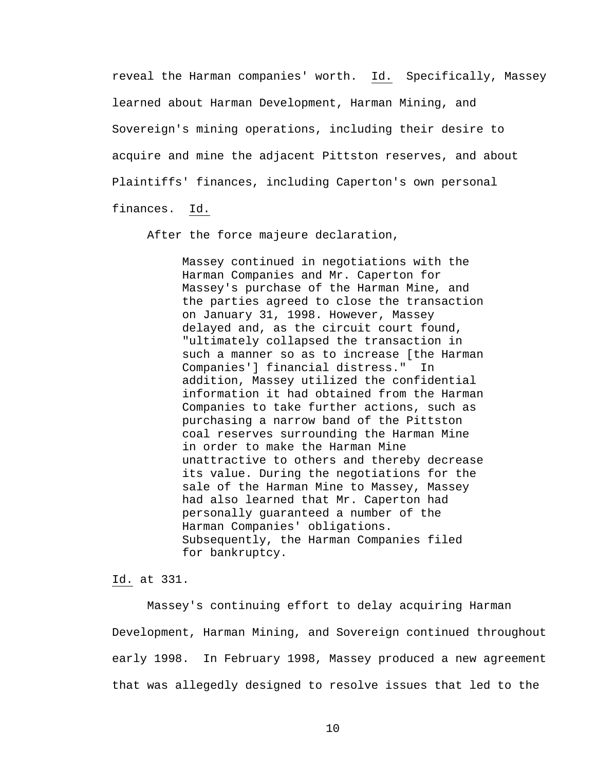reveal the Harman companies' worth. Id. Specifically, Massey learned about Harman Development, Harman Mining, and Sovereign's mining operations, including their desire to acquire and mine the adjacent Pittston reserves, and about Plaintiffs' finances, including Caperton's own personal finances. Id.

After the force majeure declaration,

Massey continued in negotiations with the Harman Companies and Mr. Caperton for Massey's purchase of the Harman Mine, and the parties agreed to close the transaction on January 31, 1998. However, Massey delayed and, as the circuit court found, "ultimately collapsed the transaction in such a manner so as to increase [the Harman Companies'] financial distress." In addition, Massey utilized the confidential information it had obtained from the Harman Companies to take further actions, such as purchasing a narrow band of the Pittston coal reserves surrounding the Harman Mine in order to make the Harman Mine unattractive to others and thereby decrease its value. During the negotiations for the sale of the Harman Mine to Massey, Massey had also learned that Mr. Caperton had personally guaranteed a number of the Harman Companies' obligations. Subsequently, the Harman Companies filed for bankruptcy.

Id. at 331.

 Massey's continuing effort to delay acquiring Harman Development, Harman Mining, and Sovereign continued throughout early 1998. In February 1998, Massey produced a new agreement that was allegedly designed to resolve issues that led to the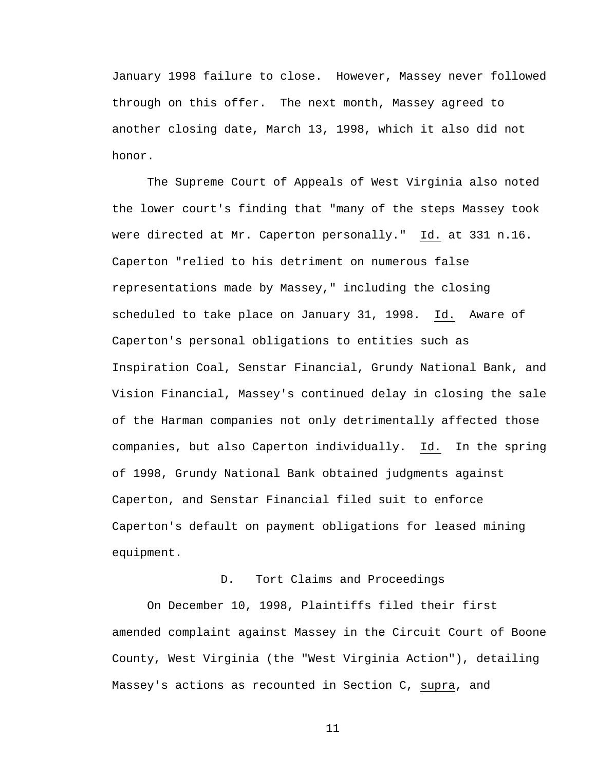January 1998 failure to close. However, Massey never followed through on this offer. The next month, Massey agreed to another closing date, March 13, 1998, which it also did not honor.

 The Supreme Court of Appeals of West Virginia also noted the lower court's finding that "many of the steps Massey took were directed at Mr. Caperton personally." Id. at 331 n.16. Caperton "relied to his detriment on numerous false representations made by Massey," including the closing scheduled to take place on January 31, 1998. Id. Aware of Caperton's personal obligations to entities such as Inspiration Coal, Senstar Financial, Grundy National Bank, and Vision Financial, Massey's continued delay in closing the sale of the Harman companies not only detrimentally affected those companies, but also Caperton individually. Id. In the spring of 1998, Grundy National Bank obtained judgments against Caperton, and Senstar Financial filed suit to enforce Caperton's default on payment obligations for leased mining equipment.

## D. Tort Claims and Proceedings

 On December 10, 1998, Plaintiffs filed their first amended complaint against Massey in the Circuit Court of Boone County, West Virginia (the "West Virginia Action"), detailing Massey's actions as recounted in Section C, supra, and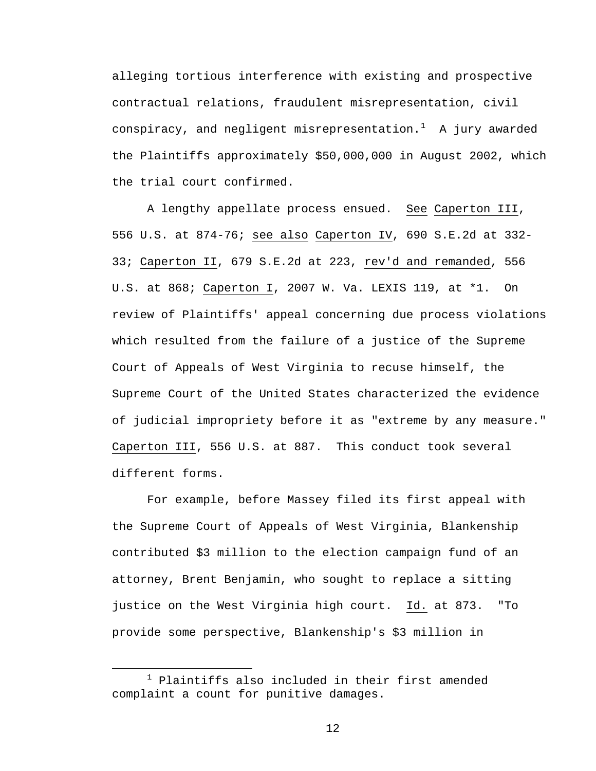alleging tortious interference with existing and prospective contractual relations, fraudulent misrepresentation, civil conspiracy, and negligent misrepresentation. $^1$  $^1$  A jury awarded the Plaintiffs approximately \$50,000,000 in August 2002, which the trial court confirmed.

 A lengthy appellate process ensued. See Caperton III, 556 U.S. at 874-76; see also Caperton IV, 690 S.E.2d at 332- 33; Caperton II, 679 S.E.2d at 223, rev'd and remanded, 556 U.S. at 868; Caperton I, 2007 W. Va. LEXIS 119, at \*1. On review of Plaintiffs' appeal concerning due process violations which resulted from the failure of a justice of the Supreme Court of Appeals of West Virginia to recuse himself, the Supreme Court of the United States characterized the evidence of judicial impropriety before it as "extreme by any measure." Caperton III, 556 U.S. at 887. This conduct took several different forms.

For example, before Massey filed its first appeal with the Supreme Court of Appeals of West Virginia, Blankenship contributed \$3 million to the election campaign fund of an attorney, Brent Benjamin, who sought to replace a sitting justice on the West Virginia high court. Id. at 873. "To provide some perspective, Blankenship's \$3 million in

<span id="page-11-0"></span> <sup>1</sup>  $1$  Plaintiffs also included in their first amended complaint a count for punitive damages.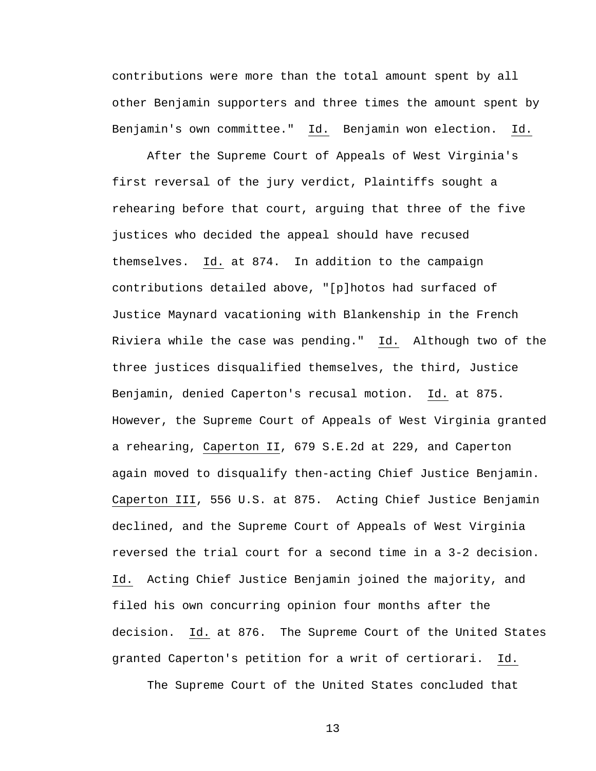contributions were more than the total amount spent by all other Benjamin supporters and three times the amount spent by Benjamin's own committee." Id. Benjamin won election. Id.

After the Supreme Court of Appeals of West Virginia's first reversal of the jury verdict, Plaintiffs sought a rehearing before that court, arguing that three of the five justices who decided the appeal should have recused themselves. Id. at 874. In addition to the campaign contributions detailed above, "[p]hotos had surfaced of Justice Maynard vacationing with Blankenship in the French Riviera while the case was pending." Id. Although two of the three justices disqualified themselves, the third, Justice Benjamin, denied Caperton's recusal motion. Id. at 875. However, the Supreme Court of Appeals of West Virginia granted a rehearing, Caperton II, 679 S.E.2d at 229, and Caperton again moved to disqualify then-acting Chief Justice Benjamin. Caperton III, 556 U.S. at 875. Acting Chief Justice Benjamin declined, and the Supreme Court of Appeals of West Virginia reversed the trial court for a second time in a 3-2 decision. Id. Acting Chief Justice Benjamin joined the majority, and filed his own concurring opinion four months after the decision. Id. at 876. The Supreme Court of the United States granted Caperton's petition for a writ of certiorari. Id.

The Supreme Court of the United States concluded that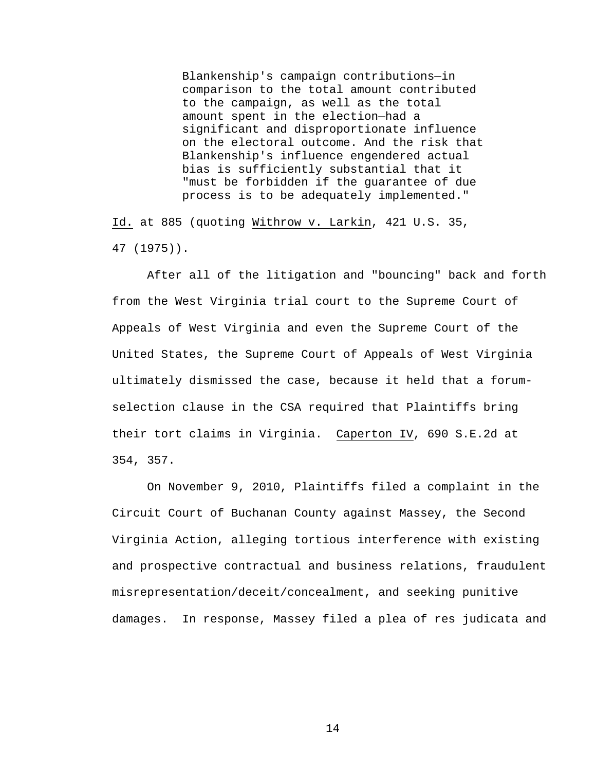Blankenship's campaign contributions—in comparison to the total amount contributed to the campaign, as well as the total amount spent in the election—had a significant and disproportionate influence on the electoral outcome. And the risk that Blankenship's influence engendered actual bias is sufficiently substantial that it "must be forbidden if the guarantee of due process is to be adequately implemented."

Id. at 885 (quoting Withrow v. Larkin, 421 U.S. 35, 47 (1975)).

 After all of the litigation and "bouncing" back and forth from the West Virginia trial court to the Supreme Court of Appeals of West Virginia and even the Supreme Court of the United States, the Supreme Court of Appeals of West Virginia ultimately dismissed the case, because it held that a forumselection clause in the CSA required that Plaintiffs bring their tort claims in Virginia. Caperton IV, 690 S.E.2d at 354, 357.

 On November 9, 2010, Plaintiffs filed a complaint in the Circuit Court of Buchanan County against Massey, the Second Virginia Action, alleging tortious interference with existing and prospective contractual and business relations, fraudulent misrepresentation/deceit/concealment, and seeking punitive damages. In response, Massey filed a plea of res judicata and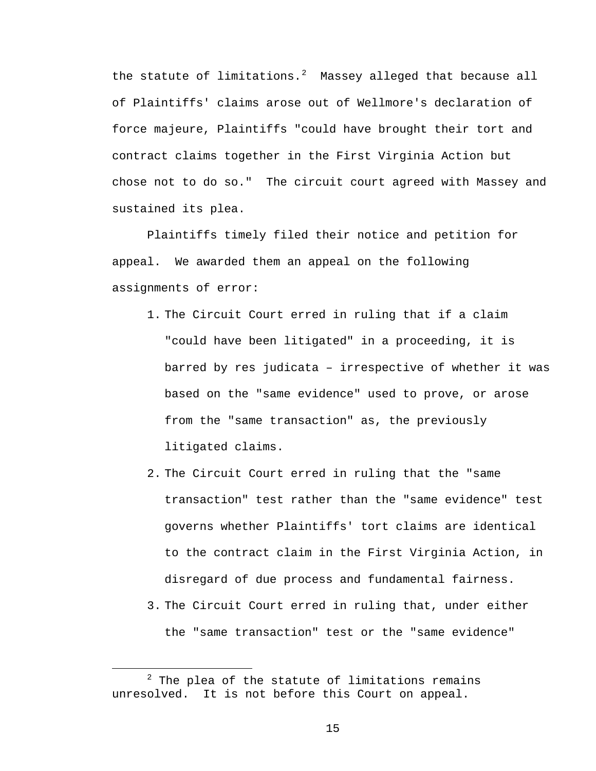the statute of limitations. $^2$  $^2$  Massey alleged that because all of Plaintiffs' claims arose out of Wellmore's declaration of force majeure, Plaintiffs "could have brought their tort and contract claims together in the First Virginia Action but chose not to do so." The circuit court agreed with Massey and sustained its plea.

 Plaintiffs timely filed their notice and petition for appeal. We awarded them an appeal on the following assignments of error:

- 1. The Circuit Court erred in ruling that if a claim "could have been litigated" in a proceeding, it is barred by res judicata – irrespective of whether it was based on the "same evidence" used to prove, or arose from the "same transaction" as, the previously litigated claims.
- 2. The Circuit Court erred in ruling that the "same transaction" test rather than the "same evidence" test governs whether Plaintiffs' tort claims are identical to the contract claim in the First Virginia Action, in disregard of due process and fundamental fairness.
- 3. The Circuit Court erred in ruling that, under either the "same transaction" test or the "same evidence"

<span id="page-14-0"></span> $\overline{\phantom{a}}$  2  $2$  The plea of the statute of limitations remains unresolved. It is not before this Court on appeal.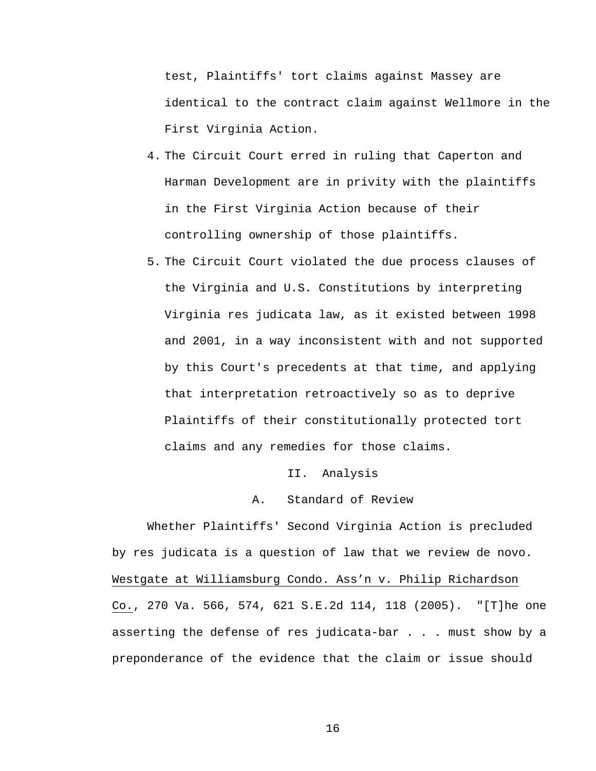test, Plaintiffs' tort claims against Massey are identical to the contract claim against Wellmore in the First Virginia Action.

- 4. The Circuit Court erred in ruling that Caperton and Harman Development are in privity with the plaintiffs in the First Virginia Action because of their controlling ownership of those plaintiffs.
- 5. The Circuit Court violated the due process clauses of the Virginia and U.S. Constitutions by interpreting Virginia res judicata law, as it existed between 1998 and 2001, in a way inconsistent with and not supported by this Court's precedents at that time, and applying that interpretation retroactively so as to deprive Plaintiffs of their constitutionally protected tort claims and any remedies for those claims.

### II. Analysis

## A. Standard of Review

 Whether Plaintiffs' Second Virginia Action is precluded by res judicata is a question of law that we review de novo. Westgate at Williamsburg Condo. Ass'n v. Philip Richardson Co., 270 Va. 566, 574, 621 S.E.2d 114, 118 (2005). "[T]he one asserting the defense of res judicata-bar . . . must show by a preponderance of the evidence that the claim or issue should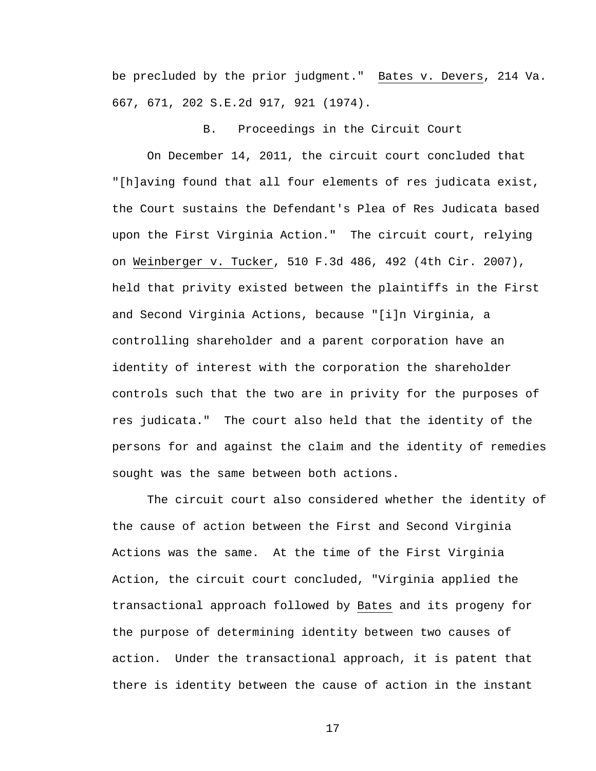be precluded by the prior judgment." Bates v. Devers, 214 Va. 667, 671, 202 S.E.2d 917, 921 (1974).

B. Proceedings in the Circuit Court

 On December 14, 2011, the circuit court concluded that "[h]aving found that all four elements of res judicata exist, the Court sustains the Defendant's Plea of Res Judicata based upon the First Virginia Action." The circuit court, relying on Weinberger v. Tucker, 510 F.3d 486, 492 (4th Cir. 2007), held that privity existed between the plaintiffs in the First and Second Virginia Actions, because "[i]n Virginia, a controlling shareholder and a parent corporation have an identity of interest with the corporation the shareholder controls such that the two are in privity for the purposes of res judicata." The court also held that the identity of the persons for and against the claim and the identity of remedies sought was the same between both actions.

 The circuit court also considered whether the identity of the cause of action between the First and Second Virginia Actions was the same. At the time of the First Virginia Action, the circuit court concluded, "Virginia applied the transactional approach followed by Bates and its progeny for the purpose of determining identity between two causes of action. Under the transactional approach, it is patent that there is identity between the cause of action in the instant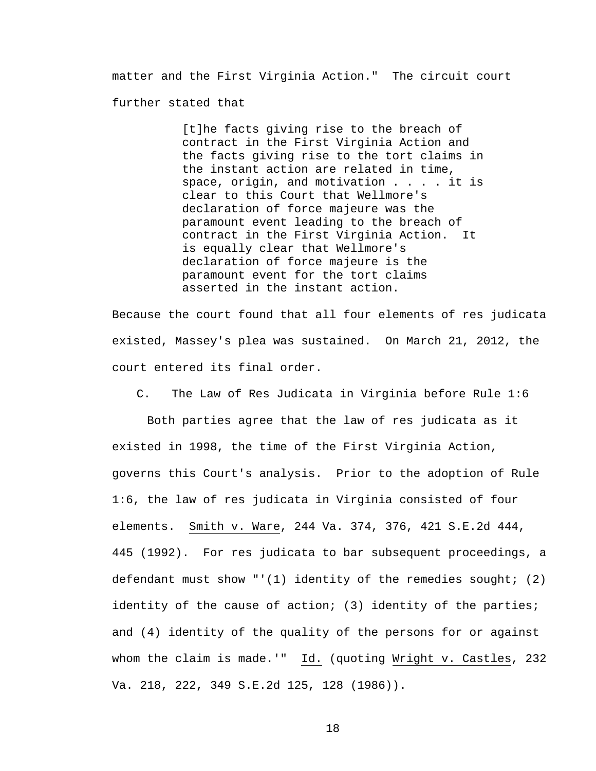matter and the First Virginia Action." The circuit court further stated that

> [t]he facts giving rise to the breach of contract in the First Virginia Action and the facts giving rise to the tort claims in the instant action are related in time, space, origin, and motivation  $\ldots$  . it is clear to this Court that Wellmore's declaration of force majeure was the paramount event leading to the breach of contract in the First Virginia Action. It is equally clear that Wellmore's declaration of force majeure is the paramount event for the tort claims asserted in the instant action.

Because the court found that all four elements of res judicata existed, Massey's plea was sustained. On March 21, 2012, the court entered its final order.

C. The Law of Res Judicata in Virginia before Rule 1:6

 Both parties agree that the law of res judicata as it existed in 1998, the time of the First Virginia Action, governs this Court's analysis. Prior to the adoption of Rule 1:6, the law of res judicata in Virginia consisted of four elements. Smith v. Ware, 244 Va. 374, 376, 421 S.E.2d 444, 445 (1992). For res judicata to bar subsequent proceedings, a defendant must show "'(1) identity of the remedies sought; (2) identity of the cause of action; (3) identity of the parties; and (4) identity of the quality of the persons for or against whom the claim is made.'" Id. (quoting Wright v. Castles, 232 Va. 218, 222, 349 S.E.2d 125, 128 (1986)).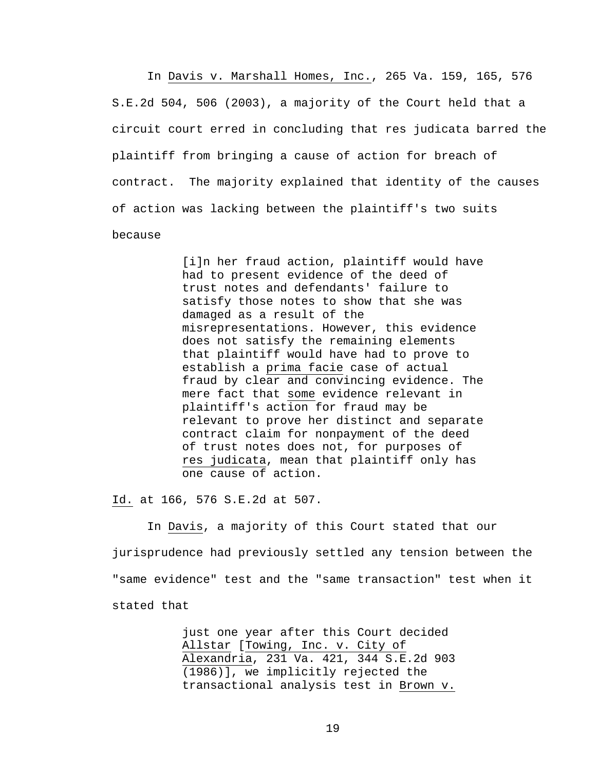In Davis v. Marshall Homes, Inc., 265 Va. 159, 165, 576 S.E.2d 504, 506 (2003), a majority of the Court held that a circuit court erred in concluding that res judicata barred the plaintiff from bringing a cause of action for breach of contract. The majority explained that identity of the causes of action was lacking between the plaintiff's two suits because

> [i]n her fraud action, plaintiff would have had to present evidence of the deed of trust notes and defendants' failure to satisfy those notes to show that she was damaged as a result of the misrepresentations. However, this evidence does not satisfy the remaining elements that plaintiff would have had to prove to establish a prima facie case of actual fraud by clear and convincing evidence. The mere fact that some evidence relevant in plaintiff's action for fraud may be relevant to prove her distinct and separate contract claim for nonpayment of the deed of trust notes does not, for purposes of res judicata, mean that plaintiff only has one cause of action.

Id. at 166, 576 S.E.2d at 507.

 In Davis, a majority of this Court stated that our jurisprudence had previously settled any tension between the "same evidence" test and the "same transaction" test when it stated that

> just one year after this Court decided Allstar [Towing, Inc. v. City of Alexandria, 231 Va. 421, 344 S.E.2d 903 (1986)], we implicitly rejected the transactional analysis test in Brown v.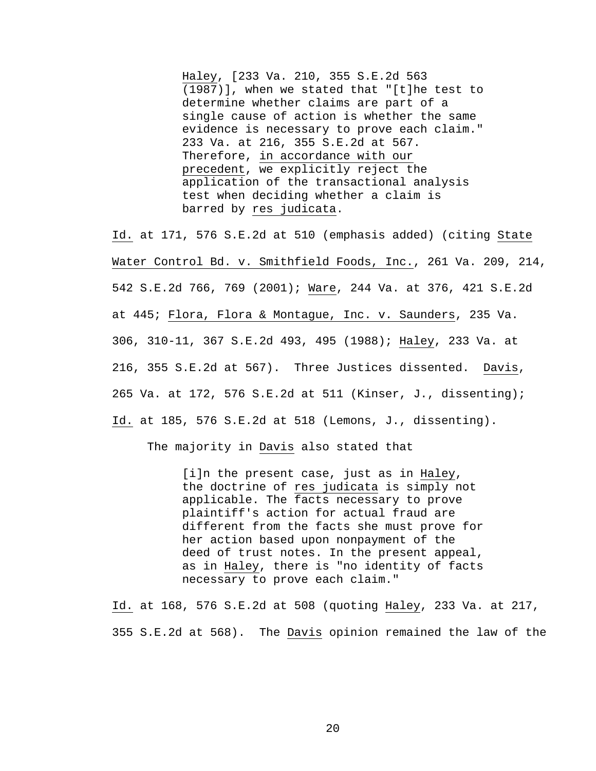Haley, [233 Va. 210, 355 S.E.2d 563 (1987)], when we stated that "[t]he test to determine whether claims are part of a single cause of action is whether the same evidence is necessary to prove each claim." 233 Va. at 216, 355 S.E.2d at 567. Therefore, in accordance with our precedent, we explicitly reject the application of the transactional analysis test when deciding whether a claim is barred by res judicata.

Id. at 171, 576 S.E.2d at 510 (emphasis added) (citing State Water Control Bd. v. Smithfield Foods, Inc., 261 Va. 209, 214, 542 S.E.2d 766, 769 (2001); Ware, 244 Va. at 376, 421 S.E.2d at 445; Flora, Flora & Montague, Inc. v. Saunders, 235 Va. 306, 310-11, 367 S.E.2d 493, 495 (1988); Haley, 233 Va. at 216, 355 S.E.2d at 567). Three Justices dissented. Davis, 265 Va. at 172, 576 S.E.2d at 511 (Kinser, J., dissenting); Id. at 185, 576 S.E.2d at 518 (Lemons, J., dissenting).

The majority in Davis also stated that

[i]n the present case, just as in Haley, the doctrine of res judicata is simply not applicable. The facts necessary to prove plaintiff's action for actual fraud are different from the facts she must prove for her action based upon nonpayment of the deed of trust notes. In the present appeal, as in Haley, there is "no identity of facts necessary to prove each claim."

Id. at 168, 576 S.E.2d at 508 (quoting Haley, 233 Va. at 217, 355 S.E.2d at 568). The Davis opinion remained the law of the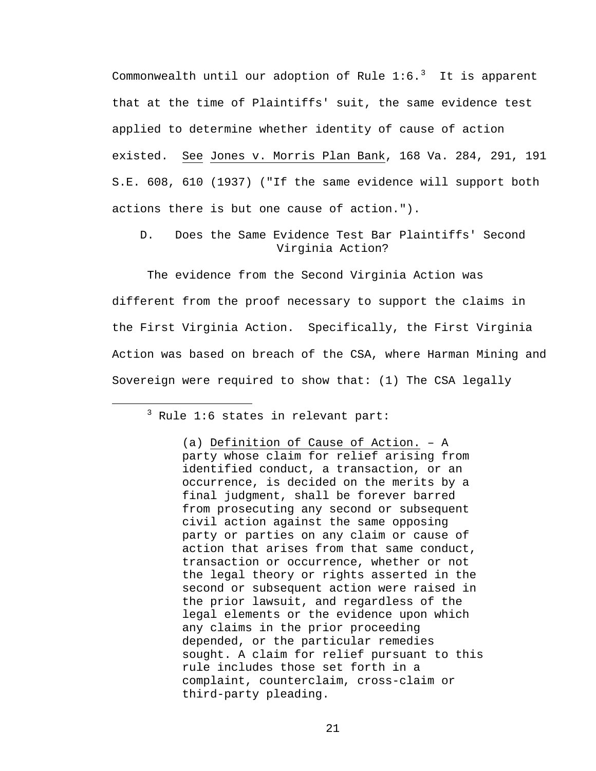Commonwealth until our adoption of Rule  $1\mathord{\cdot} 6.\mathord{^3}$  $1\mathord{\cdot} 6.\mathord{^3}$  $1\mathord{\cdot} 6.\mathord{^3}$  It is apparent that at the time of Plaintiffs' suit, the same evidence test applied to determine whether identity of cause of action existed. See Jones v. Morris Plan Bank, 168 Va. 284, 291, 191 S.E. 608, 610 (1937) ("If the same evidence will support both actions there is but one cause of action.").

D. Does the Same Evidence Test Bar Plaintiffs' Second Virginia Action?

 The evidence from the Second Virginia Action was different from the proof necessary to support the claims in the First Virginia Action. Specifically, the First Virginia Action was based on breach of the CSA, where Harman Mining and Sovereign were required to show that: (1) The CSA legally

<span id="page-20-0"></span> $\overline{\phantom{a}}$  3  $3$  Rule 1:6 states in relevant part:

<sup>(</sup>a) Definition of Cause of Action. – A party whose claim for relief arising from identified conduct, a transaction, or an occurrence, is decided on the merits by a final judgment, shall be forever barred from prosecuting any second or subsequent civil action against the same opposing party or parties on any claim or cause of action that arises from that same conduct, transaction or occurrence, whether or not the legal theory or rights asserted in the second or subsequent action were raised in the prior lawsuit, and regardless of the legal elements or the evidence upon which any claims in the prior proceeding depended, or the particular remedies sought. A claim for relief pursuant to this rule includes those set forth in a complaint, counterclaim, cross-claim or third-party pleading.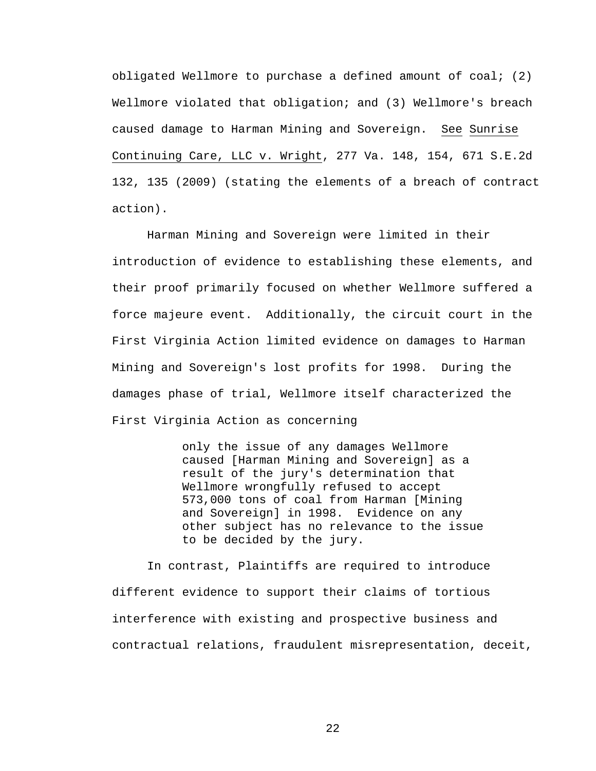obligated Wellmore to purchase a defined amount of coal; (2) Wellmore violated that obligation; and (3) Wellmore's breach caused damage to Harman Mining and Sovereign. See Sunrise Continuing Care, LLC v. Wright, 277 Va. 148, 154, 671 S.E.2d 132, 135 (2009) (stating the elements of a breach of contract action).

 Harman Mining and Sovereign were limited in their introduction of evidence to establishing these elements, and their proof primarily focused on whether Wellmore suffered a force majeure event. Additionally, the circuit court in the First Virginia Action limited evidence on damages to Harman Mining and Sovereign's lost profits for 1998. During the damages phase of trial, Wellmore itself characterized the First Virginia Action as concerning

> only the issue of any damages Wellmore caused [Harman Mining and Sovereign] as a result of the jury's determination that Wellmore wrongfully refused to accept 573,000 tons of coal from Harman [Mining and Sovereign] in 1998. Evidence on any other subject has no relevance to the issue to be decided by the jury.

 In contrast, Plaintiffs are required to introduce different evidence to support their claims of tortious interference with existing and prospective business and contractual relations, fraudulent misrepresentation, deceit,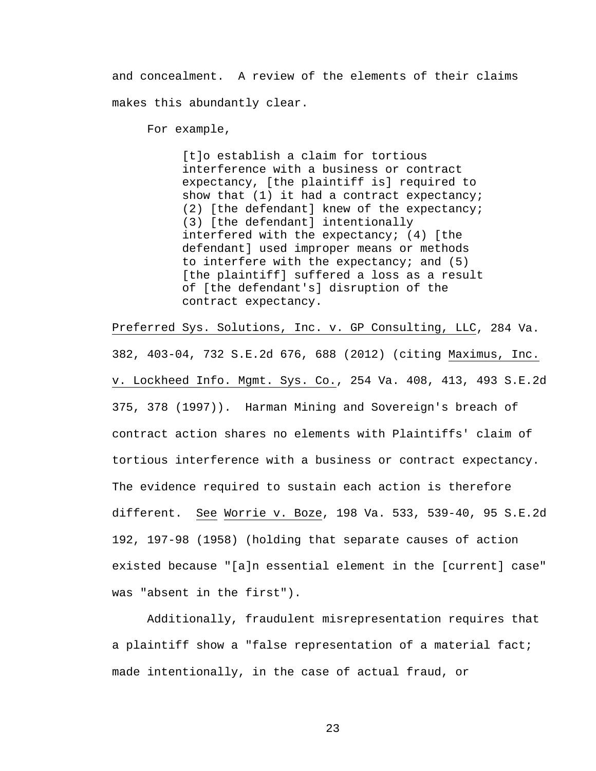and concealment. A review of the elements of their claims makes this abundantly clear.

For example,

[t]o establish a claim for tortious interference with a business or contract expectancy, [the plaintiff is] required to show that (1) it had a contract expectancy; (2) [the defendant] knew of the expectancy; (3) [the defendant] intentionally interfered with the expectancy; (4) [the defendant] used improper means or methods to interfere with the expectancy; and (5) [the plaintiff] suffered a loss as a result of [the defendant's] disruption of the contract expectancy.

Preferred Sys. Solutions, Inc. v. GP Consulting, LLC, 284 Va. 382, 403-04, 732 S.E.2d 676, 688 (2012) (citing Maximus, Inc. v. Lockheed Info. Mgmt. Sys. Co., 254 Va. 408, 413, 493 S.E.2d 375, 378 (1997)). Harman Mining and Sovereign's breach of contract action shares no elements with Plaintiffs' claim of tortious interference with a business or contract expectancy. The evidence required to sustain each action is therefore different. See Worrie v. Boze, 198 Va. 533, 539-40, 95 S.E.2d 192, 197-98 (1958) (holding that separate causes of action existed because "[a]n essential element in the [current] case" was "absent in the first").

 Additionally, fraudulent misrepresentation requires that a plaintiff show a "false representation of a material fact; made intentionally, in the case of actual fraud, or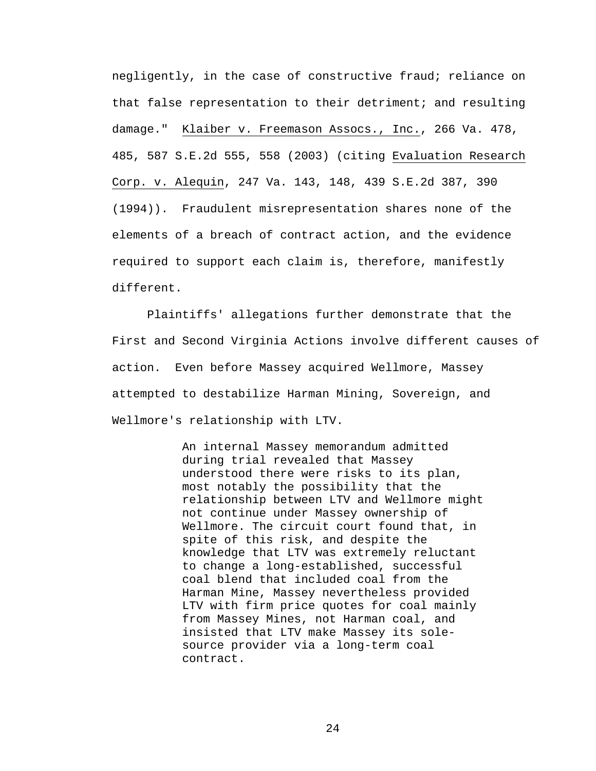negligently, in the case of constructive fraud; reliance on that false representation to their detriment; and resulting damage." Klaiber v. Freemason Assocs., Inc., 266 Va. 478, 485, 587 S.E.2d 555, 558 (2003) (citing Evaluation Research Corp. v. Alequin, 247 Va. 143, 148, 439 S.E.2d 387, 390 (1994)). Fraudulent misrepresentation shares none of the elements of a breach of contract action, and the evidence required to support each claim is, therefore, manifestly different.

 Plaintiffs' allegations further demonstrate that the First and Second Virginia Actions involve different causes of action. Even before Massey acquired Wellmore, Massey attempted to destabilize Harman Mining, Sovereign, and Wellmore's relationship with LTV.

> An internal Massey memorandum admitted during trial revealed that Massey understood there were risks to its plan, most notably the possibility that the relationship between LTV and Wellmore might not continue under Massey ownership of Wellmore. The circuit court found that, in spite of this risk, and despite the knowledge that LTV was extremely reluctant to change a long-established, successful coal blend that included coal from the Harman Mine, Massey nevertheless provided LTV with firm price quotes for coal mainly from Massey Mines, not Harman coal, and insisted that LTV make Massey its solesource provider via a long-term coal contract.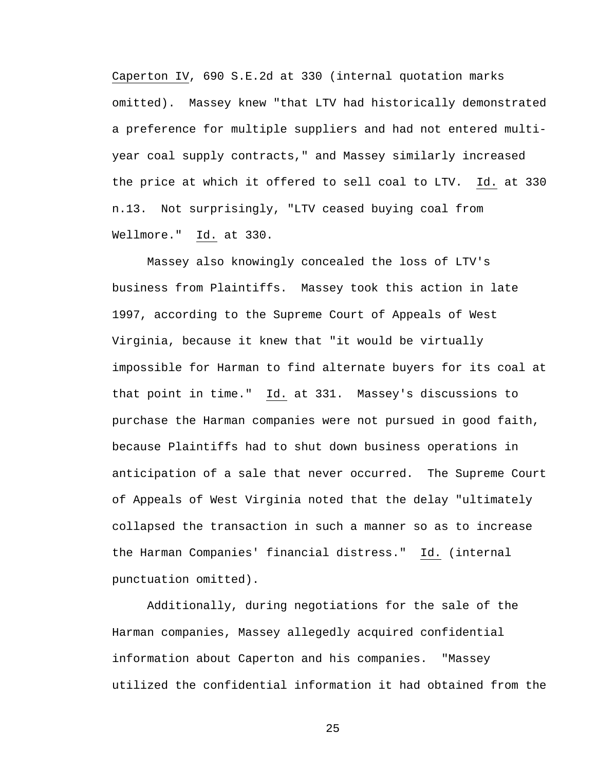Caperton IV, 690 S.E.2d at 330 (internal quotation marks omitted). Massey knew "that LTV had historically demonstrated a preference for multiple suppliers and had not entered multiyear coal supply contracts," and Massey similarly increased the price at which it offered to sell coal to LTV. Id. at 330 n.13. Not surprisingly, "LTV ceased buying coal from Wellmore." Id. at 330.

 Massey also knowingly concealed the loss of LTV's business from Plaintiffs. Massey took this action in late 1997, according to the Supreme Court of Appeals of West Virginia, because it knew that "it would be virtually impossible for Harman to find alternate buyers for its coal at that point in time." Id. at 331. Massey's discussions to purchase the Harman companies were not pursued in good faith, because Plaintiffs had to shut down business operations in anticipation of a sale that never occurred. The Supreme Court of Appeals of West Virginia noted that the delay "ultimately collapsed the transaction in such a manner so as to increase the Harman Companies' financial distress." Id. (internal punctuation omitted).

 Additionally, during negotiations for the sale of the Harman companies, Massey allegedly acquired confidential information about Caperton and his companies. "Massey utilized the confidential information it had obtained from the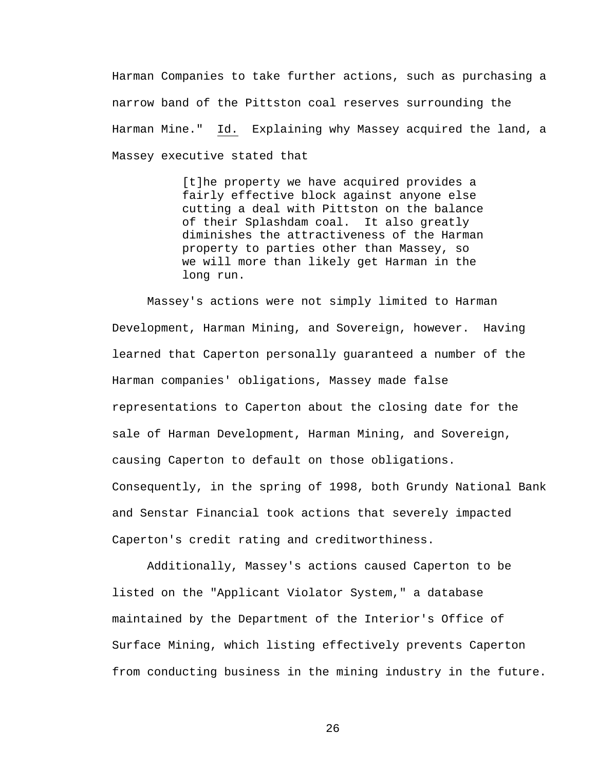Harman Companies to take further actions, such as purchasing a narrow band of the Pittston coal reserves surrounding the Harman Mine." Id. Explaining why Massey acquired the land, a Massey executive stated that

> [t]he property we have acquired provides a fairly effective block against anyone else cutting a deal with Pittston on the balance of their Splashdam coal. It also greatly diminishes the attractiveness of the Harman property to parties other than Massey, so we will more than likely get Harman in the long run.

 Massey's actions were not simply limited to Harman Development, Harman Mining, and Sovereign, however. Having learned that Caperton personally guaranteed a number of the Harman companies' obligations, Massey made false representations to Caperton about the closing date for the sale of Harman Development, Harman Mining, and Sovereign, causing Caperton to default on those obligations. Consequently, in the spring of 1998, both Grundy National Bank and Senstar Financial took actions that severely impacted Caperton's credit rating and creditworthiness.

 Additionally, Massey's actions caused Caperton to be listed on the "Applicant Violator System," a database maintained by the Department of the Interior's Office of Surface Mining, which listing effectively prevents Caperton from conducting business in the mining industry in the future.